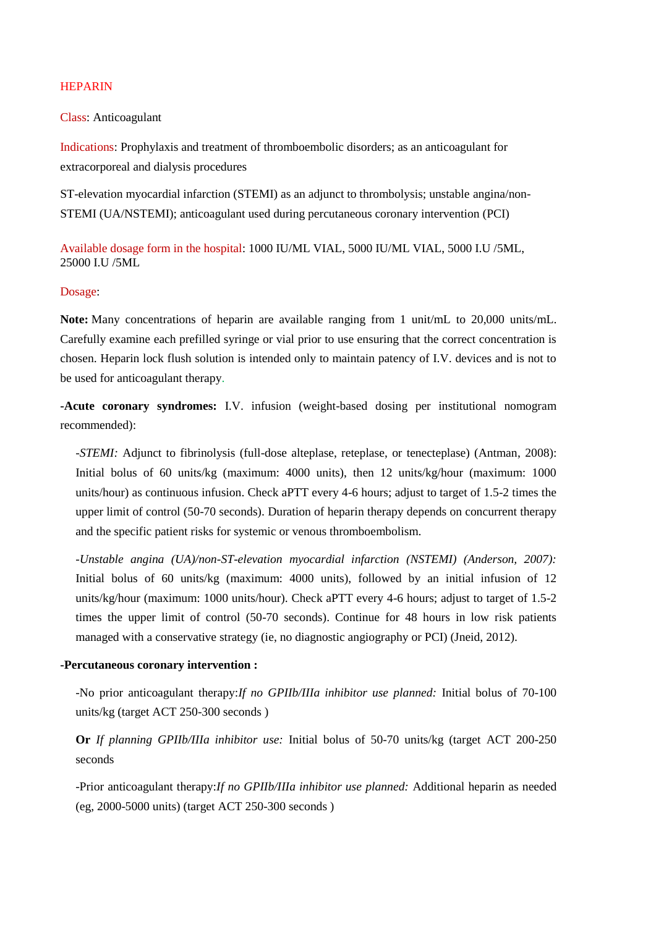## HEPARIN

Class: Anticoagulant

Indications: Prophylaxis and treatment of thromboembolic disorders; as an anticoagulant for extracorporeal and dialysis procedures

ST-elevation myocardial infarction (STEMI) as an adjunct to thrombolysis; unstable angina/non-STEMI (UA/NSTEMI); anticoagulant used during percutaneous coronary intervention (PCI)

Available dosage form in the hospital: 1000 IU/ML VIAL, 5000 IU/ML VIAL, 5000 I.U /5ML, 25000 I.U /5ML

## Dosage:

**Note:** Many concentrations of heparin are available ranging from 1 unit/mL to 20,000 units/mL. Carefully examine each prefilled syringe or vial prior to use ensuring that the correct concentration is chosen. Heparin lock flush solution is intended only to maintain patency of I.V. devices and is not to be used for anticoagulant therapy.

**-Acute coronary syndromes:** I.V. infusion (weight-based dosing per institutional nomogram recommended):

*-STEMI:* Adjunct to fibrinolysis (full-dose alteplase, reteplase, or tenecteplase) (Antman, 2008): Initial bolus of 60 units/kg (maximum: 4000 units), then 12 units/kg/hour (maximum: 1000 units/hour) as continuous infusion. Check aPTT every 4-6 hours; adjust to target of 1.5-2 times the upper limit of control (50-70 seconds). Duration of heparin therapy depends on concurrent therapy and the specific patient risks for systemic or venous thromboembolism.

*-Unstable angina (UA)/non-ST-elevation myocardial infarction (NSTEMI) (Anderson, 2007):* Initial bolus of 60 units/kg (maximum: 4000 units), followed by an initial infusion of 12 units/kg/hour (maximum: 1000 units/hour). Check aPTT every 4-6 hours; adjust to target of 1.5-2 times the upper limit of control (50-70 seconds). Continue for 48 hours in low risk patients managed with a conservative strategy (ie, no diagnostic angiography or PCI) (Jneid, 2012).

## **-Percutaneous coronary intervention :**

-No prior anticoagulant therapy:*If no GPIIb/IIIa inhibitor use planned:* Initial bolus of 70-100 units/kg (target ACT 250-300 seconds )

**Or** *If planning GPIIb/IIIa inhibitor use:* Initial bolus of 50-70 units/kg (target ACT 200-250 seconds

-Prior anticoagulant therapy:*If no GPIIb/IIIa inhibitor use planned:* Additional heparin as needed (eg, 2000-5000 units) (target ACT 250-300 seconds )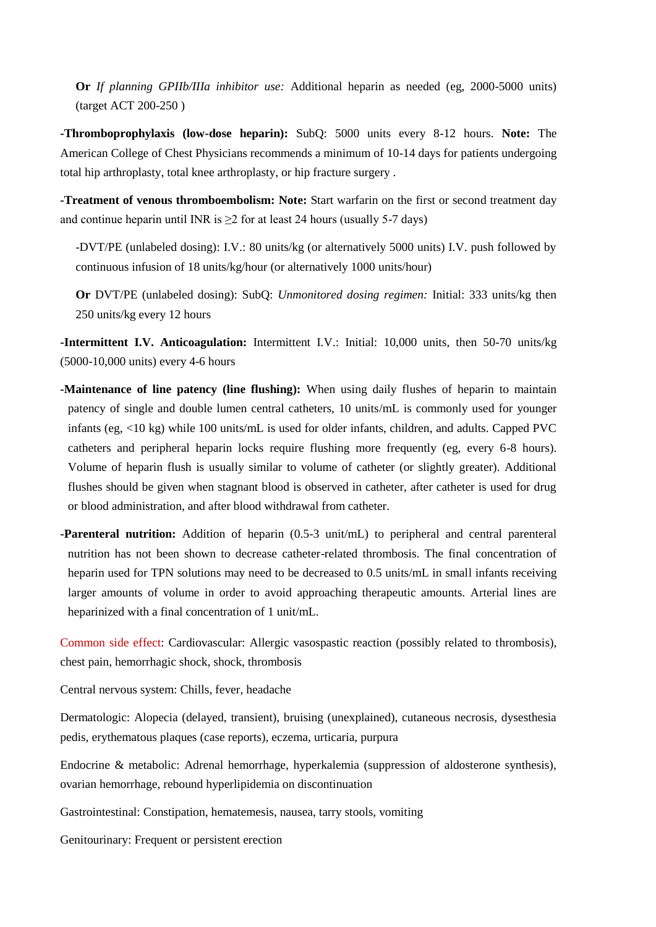**Or** *If planning GPIIb/IIIa inhibitor use:* Additional heparin as needed (eg, 2000-5000 units) (target ACT 200-250 )

**-Thromboprophylaxis (low-dose heparin):** SubQ: 5000 units every 8-12 hours. **Note:** The American College of Chest Physicians recommends a minimum of 10-14 days for patients undergoing total hip arthroplasty, total knee arthroplasty, or hip fracture surgery .

**-Treatment of venous thromboembolism: Note:** Start warfarin on the first or second treatment day and continue heparin until INR is  $\geq 2$  for at least 24 hours (usually 5-7 days)

-DVT/PE (unlabeled dosing): I.V.: 80 units/kg (or alternatively 5000 units) I.V. push followed by continuous infusion of 18 units/kg/hour (or alternatively 1000 units/hour)

**Or** DVT/PE (unlabeled dosing): SubQ: *Unmonitored dosing regimen:* Initial: 333 units/kg then 250 units/kg every 12 hours

**-Intermittent I.V. Anticoagulation:** Intermittent I.V.: Initial: 10,000 units, then 50-70 units/kg (5000-10,000 units) every 4-6 hours

- **-Maintenance of line patency (line flushing):** When using daily flushes of heparin to maintain patency of single and double lumen central catheters, 10 units/mL is commonly used for younger infants (eg, <10 kg) while 100 units/mL is used for older infants, children, and adults. Capped PVC catheters and peripheral heparin locks require flushing more frequently (eg, every 6-8 hours). Volume of heparin flush is usually similar to volume of catheter (or slightly greater). Additional flushes should be given when stagnant blood is observed in catheter, after catheter is used for drug or blood administration, and after blood withdrawal from catheter.
- **-Parenteral nutrition:** Addition of heparin (0.5-3 unit/mL) to peripheral and central parenteral nutrition has not been shown to decrease catheter-related thrombosis. The final concentration of heparin used for TPN solutions may need to be decreased to 0.5 units/mL in small infants receiving larger amounts of volume in order to avoid approaching therapeutic amounts. Arterial lines are heparinized with a final concentration of 1 unit/mL.

Common side effect: Cardiovascular: Allergic vasospastic reaction (possibly related to thrombosis), chest pain, hemorrhagic shock, shock, thrombosis

Central nervous system: Chills, fever, headache

Dermatologic: Alopecia (delayed, transient), bruising (unexplained), cutaneous necrosis, dysesthesia pedis, erythematous plaques (case reports), eczema, urticaria, purpura

Endocrine & metabolic: Adrenal hemorrhage, hyperkalemia (suppression of aldosterone synthesis), ovarian hemorrhage, rebound hyperlipidemia on discontinuation

Gastrointestinal: Constipation, hematemesis, nausea, tarry stools, vomiting

Genitourinary: Frequent or persistent erection